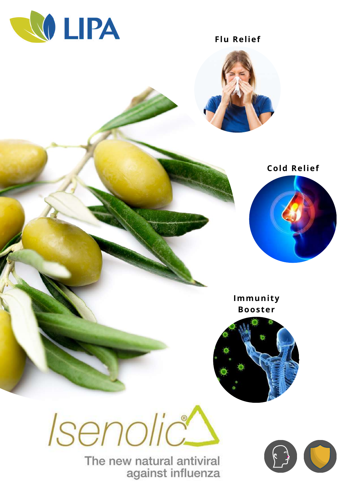

**Flu Relief** 





Immunity **Booster** 



Isenolic

The new natural antiviral against influenza

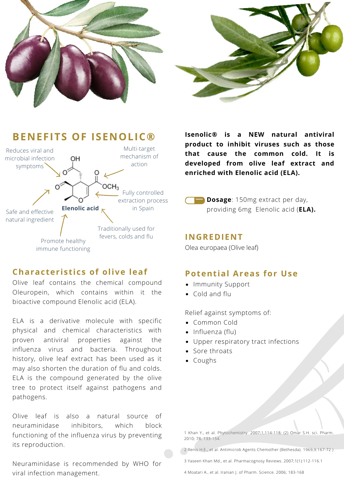



#### **BENEFITS OF ISENOLIC®** Multi-target Reduces viral and mechanism of microbial infection OH action symptoms  $OCH<sub>3</sub>$ Fully controlled extraction process **Elenolic acid** in Spain Safe and effective natural ingredient Traditionally used for fevers, colds and flu Promote healthy immune functioning and the contract of the Olea europaea (Olive leaf)

## **Characteristics of olive leaf**

Olive leaf contains the chemical compound Oleuropein, which contains within it the bioactive compound Elenolic acid (ELA).

ELA is a derivative molecule with specific physical and chemical characteristics with proven antiviral properties against the influenza virus and bacteria. Throughout history, olive leaf extract has been used as it may also shorten the duration of flu and colds. ELA is the compound generated by the olive tree to protect itself against pathogens and pathogens.

Olive leaf is also a natural source of neuraminidase inhibitors, which block functioning of the influenza virus by preventing its reproduction.

Neuraminidase is recommended by WHO for viral infection management.

**Isenolic® is a NEW natural antiviral product to inhibit viruses such as those that cause the common cold. It is developed from olive leaf extract and enriched with Elenolic acid (ELA).**

**Dosage**: 150mg extract per day, providing 6mg Elenolic acid (**ELA).**

#### **INGREDIENT**

## **Potential Areas for Use**

- Immunity Support
- Cold and flu

Relief against symptoms of:

- Common Cold
- Influenza (flu)
- Upper respiratory tract infections
- Sore throats
- Coughs

1 Khan Y., et al. Phytochemistry. 2007;1,114-118; (2) Omar S.H. sci. Pharm. 2010; 78, 133-154.

2 Renis H.E., et al. Antimicrob Agents Chemother (Bethesda). 1969;9:167-72 )

3 Yaseen Khan Md., et al. Pharmacognosy Reviews. 2007;1(1):112-116.1

4 Moatari A., et al. Iranian J. of Pharm. Science. 2006; 183-168